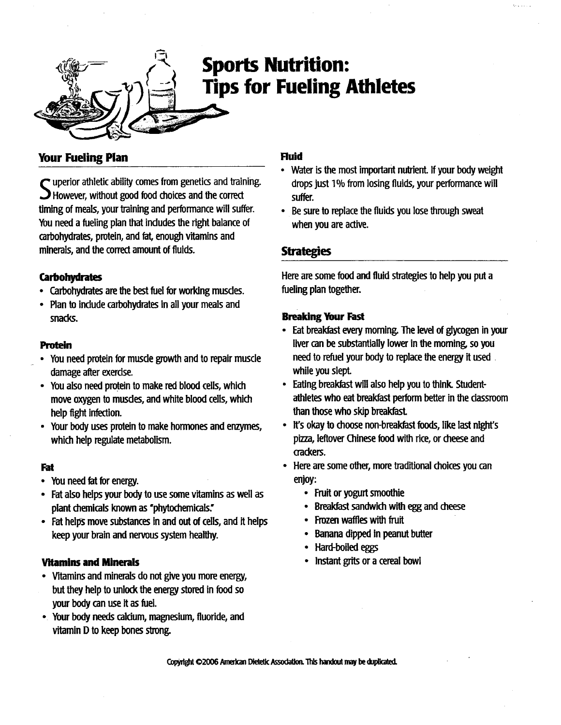

# **Sports Nutrition:** Tips for Fueling Athletes

# Your Fueling Plan

However, without good food choices and the correct  $\blacksquare$  uperior athletic ability comes from genetics and training. timing of meals, your training and performance will suffer. You need a fueling plan that includes the right balance of carbohydrates, protein, and fat, enough vitamins and minerals, and the correct amount of fluids .

## **Carbohydrates**

- Carbohydrates are the best fuel for working muscles .
- Plan to include carbohydrates in all your meals and snacks.

### Protein

- You need protein for muscle growth and to repair muscle damage after exercise.
- You also need protein to make red blood cells, which move oxygen to muscles, and white blood cells, which help fight infection.
- Your body uses protein to make hormones and enzymes, which help regulate metabolism.

## Fat

- You need fat for energy .
- Fat also helps your body to use some vitamins as well as plant chemicals known as 'phytochemicals.'
- Fat helps move substances in and out of cells, and it helps keep your brain and nervous system healthy.

## Vitamins and Minerals

- Vitamins and minerals do not give you more energy, but they help to unlock the energy stored in food so your body can use it as fuel.
- Your body needs calcium, magnesium, fluoride, and vitamin D to keep bones strong.

### Fluid

- Water is the most important nutrient. If your body weight drops just 1% from losing fluids, your performance will suffer.
- Be sure to replace the fluids you lose through sweat when you are active.

## **Strategies**

Here are some food and fluid strategies to help you put a fueling plan together.

### Breaking Your Fast

- Eat breakfast every morning. The level of glycogen in your liver can be substantially lower in the morning, so you need to refuel your body to replace the energy it used . while you slept
- Eating breakfast will also help you to think Student athletes who eat breakfast perform better in the classroom than those who skip breakfast
- It's okay to choose non-breakfast foods, like last night's pizza, leftover Chinese food with rice, or cheese and crackers.
- Here are some other, more traditional choices you can enjoy:
	- Fruit or yogurt smoothie
	- Breakfast sandwich with egg and cheese
	- Frozen waffles with fruit
	- Banana dipped In peanut butter
	- Hard-boiled eggs
	- Instant grits or a cereal bowl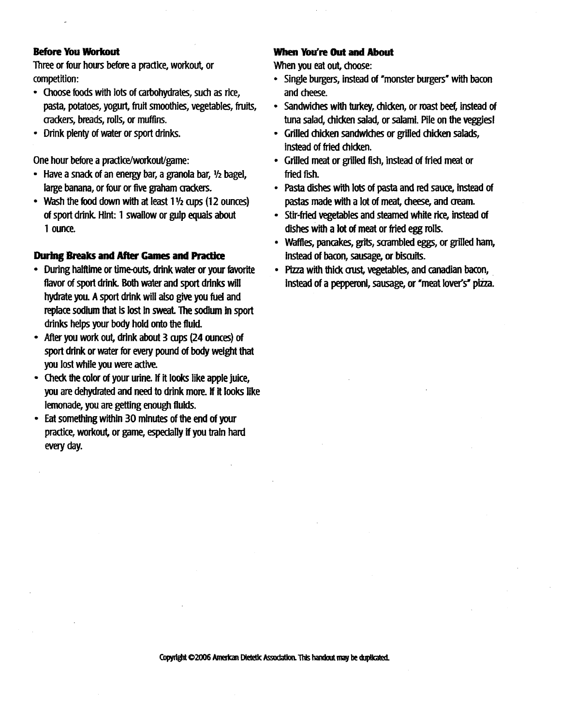#### Before You Workout

Three or four hours before a practice, workout, or competition: **Summer Single burgers of the Single burgers of the Single burgers with bacon**<br>Three or four hours before a practice, workout, or **When you eat out, choose:**<br> **Single burgers, instead of "monster burgers" with bacon**<br>
• Si

- Choose foods with lots of carbohydrates, such as rice, pasta, potatoes, yogurt, fruit smoothies, vegetables, fruits, crackers, breads, rolls, or muffins .
- Drink plenty of water or sport drinks .

One hour before a practice/workout/game :

- Have a snack of an energy bar, a granola bar, <sup>1</sup>12 bagel, large banana, or four or five graham crackers.
- $\sim$  wash the food down with at least 1.72 cups (12 ounces) of sport drink. Hint: 1 swallow or gulp equals about 1 ounce.

#### During Breaks and After Games and Practice

- During halftime or time-outs, drink water or your favorite flavor of sport drink. Both water and sport drinks will hydrate you. A sport drink will also give you fuel and replace sodium that is lost in sweat. The sodium in sport drinks helps your body hold onto the fluid.
- After you work out, drink about 3 cups (24 ounces) of sport drink or water for every pound of body weight that you lost while you were active.
- Check the color of your urine . If it looks like apple juice, you are dehydrated and need to drink more . If it looks like lemonade, you are getting enough fluids.
- Eat something within 30 minutes of the end of your practice, workout, or game, especially if you train hard every day.

#### When You're Out and About

When you eat out, choose:

- Single burgers, instead of "monster burgers" with bacon and cheese.
- Sandwiches with turkey, chicken, or roast beef, instead of tuna salad, chicken salad, or salami. Pile on the veggies!
- Grilled chicken sandwiches or grilled chicken salads, instead of fried chicken.
- Grilled meat or grilled fish, instead of fried meat or fried fish.
- Pasta dishes with lots of pasta and red sauce, instead of pastas made with a lot of meat, cheese, and cream.
- Stir-fried vegetables and steamed white rice, instead of dishes with a lot of meat or fried egg rolls.
- Waffles, pancakes, grits, scrambled eggs, or grilled ham, instead of bacon, sausage, or biscuits.
- Pizza with thick crust, vegetables, and canadian bacon, instead of a pepperoni, sausage, or "meat lover's" pizza.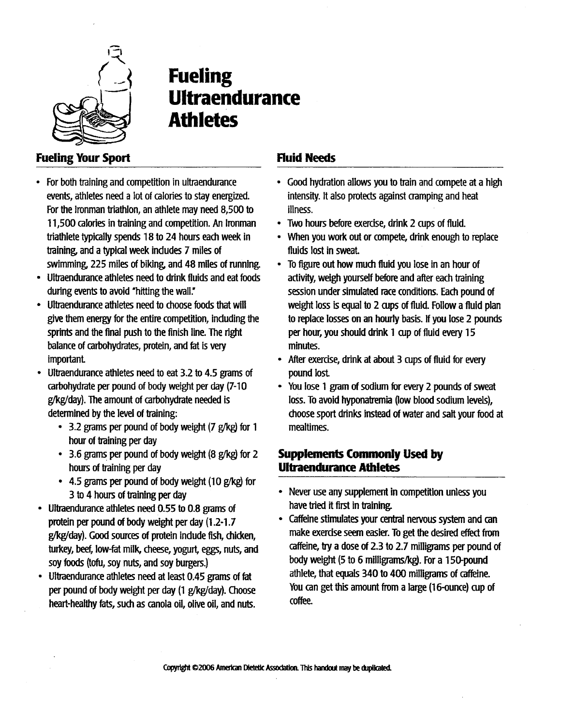

# Fueling **Ultraendurance** Athletes

# Fueling Your Sport

- For both training and competition in ultraendurance events, athletes need a lot of calories to stay energized. For the Ironman triathlon, an athlete may need 8,500 to 11,500 calories in training and competition . An Ironman triathlete typically spends 18 to 24 hours each week in training, and a typical week includes 7 miles of swimming, 225 miles of biking, and 48 miles of running .
- Ultraendurance athletes need to drink fluids and eat foods during events to avoid "hitting the wall."
- Ultraendurance athletes need to choose foods that will give them energy for the entire competition, including the sprints and the final push to the finish line. The right balance of carbohydrates, protein, and fat is very important
- Ultraendurance athletes need to eat 3 .2 to 4 .5 grams of carbohydrate per pound of body weight per day (7-10 g/kg/day). The amount of carbohydrate needed is determined by the level of training:
	- 3.2 grams per pound of body weight (7 g/kg) for 1 hour of training per day
	- 3.6 grams per pound of body weight (8 g/kgj for 2 hours of training per day
	- 4.5 grams per pound of body weight (10 g/kg) for 3 to 4 hours of training per day
- Ultraendurance athletes need 0 .55 to 0.8 grams of protein per pound of body weight per day (1 .2-1 .7 g/kg/day). Good sources of protein include fish, chicken, turkey, beef, low-fat milk, cheese, yogurt, eggs, nuts, and soy foods (tofu, soy nuts, and soy burgers)
- Ultraendurance athletes need at least 0 .45 grams of fat per pound of body weight per day (1 g/kg/day). Choose heart-healthy fats, such as canola oil, olive oil, and nuts.

# Fluid Needs

- Good hydration allows you to train and compete at a high intensity. It also protects against cramping and heat illness.
- Two hours before exercise, drink 2 cups of fluid .
- When you work out or compete, drink enough to replace fluids lost in sweat
- To figure out how much fluid you lose in an hour of activity, weigh yourself before and after each training session under simulated race conditions. Each pound of weight loss is equal to 2 cups of fluid. Follow a fluid plan to replace losses on an hourly basis . If you lose 2 pounds per hour, you should drink 1 cup of fluid every 15 minutes.
- After exercise, drink at about 3 cups of fluid for every pound lost
- You lose 1 gram of sodium for every 2 pounds of sweat loss. To avoid hyponatremia (low blood sodium levels), choose sport drinks instead of water and salt your food at mealtimes.

# Supplements Commonly Used by Ultraendurance Athletes

- Never use any supplement in competition unless you have tried it first in training.
- Caffeine stimulates your central nervous system and can make exercise seem easier. To get the desired effect from caffeine, try a dose of 2.3 to 2.7 milligrams per pound of body weight (5 to 6 milligrams/kg) . For a 150-pound athlete, that equals 340 to 400 milligrams of caffeine. You can get this amount from a large (16-ounce) cup of coffee.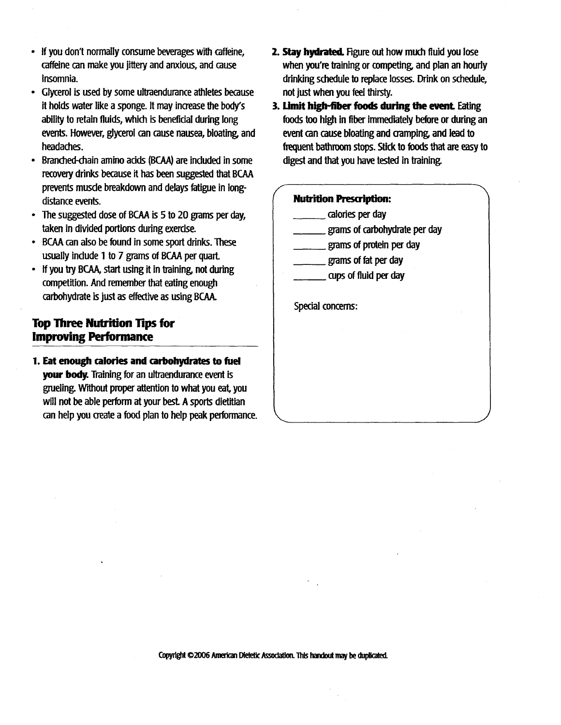- If you don't normally consume beverages with caffeine, caffeine can make you jittery and anxious, and cause insomnia.
- Glycerol is used by some ultraendurance athletes because it holds water like a sponge. It may increase the body's ability to retain fluids, which is beneficial during long events. However, glycerol can cause nausea, bloating and headaches. • Glycerol is used by sc<br>it holds water like a s<br>ability to retain fluids,<br>events. However, glyc<br>headaches.<br>• Branched-chain amine<br>recovery drinks becau<br>prevents muscle breal<br>distance events.<br>• The suggested dose c<br>taken i
- Branched-chain amino adds (BCAA) are included in some recovery drinks because it has been suggested that BCAA prevents muscle breakdown and delays fatigue in longdistance events. It notes water like a s<br>ability to retain fluids,<br>events. However, glyc<br>headaches.<br>• Branched-chain amine<br>recovery drinks becat<br>prevents muscle breal<br>distance events.<br>• The suggested dose c<br>taken in divided porti<br>• BCAA ca damy to retain hands,<br>events. However, glyc<br>headaches.<br>Branched-chain amine<br>recovery drinks becau<br>prevents muscle breal<br>distance events.<br>The suggested dose of<br>taken in divided porti<br>BCAA can also be fou<br>usually include 1 t ceale: moved, gycheadaches.<br>
• Branched-chain amine<br>
recovery drinks becau<br>
prevents musde breal<br>
distance events.<br>
• The suggested dose c<br>
taken in divided porti<br>
• BCAA can also be fou<br>
usually indude 1 to 7<br>
• If you tr • Branched-chain amine<br>recovery drinks becau<br>prevents muscle breal<br>distance events.<br>• The suggested dose c<br>taken in divided porti<br>• BCAA can also be fou<br>usually indude 1 to 7<br>• If you try BCAA, start<br>competition. And rem<br>c
	- The suggested dose of BCAA is 5 to 20 grams per day, taken in divided portions during exercise.
	- BCAA can also be found in some sport drinks. These usually include 1 to 7 grams of BCAA per quart.
	- If you try BCAA, start using it in training, not during competition. And remember that eating enough carbohydrate is just as effective as using BCAA .

## Top Three Nutrition Tips for Improving Performance

1. Eat enough calories and carbohydrates to fuel your body. Training for an ultraendurance event is grueling. Without proper attention to what you eat, you will not be able perform at your best. A sports dietitian can help you create a food plan to help peak performance.

- 2. Stay hydrated. Figure out how much fluid you lose when you're training or competing, and plan an hourly drinking schedule to replace losses. Drink on schedule, not just when you feel thirsty.
- 3. Limit high-fiber foods during the event. Eating foods too high in fiber immediately before or during an event can cause bloating and cramping, and lead to frequent bathroom stops. Stick to foods that are easy to digest and that you have tested in training.

#### **Nutrition Prescription:**

- calories per day
- grams of carbohydrate per day
- grams of protein per day
- grams of fat per day
- cups of fluid per day

Special concerns: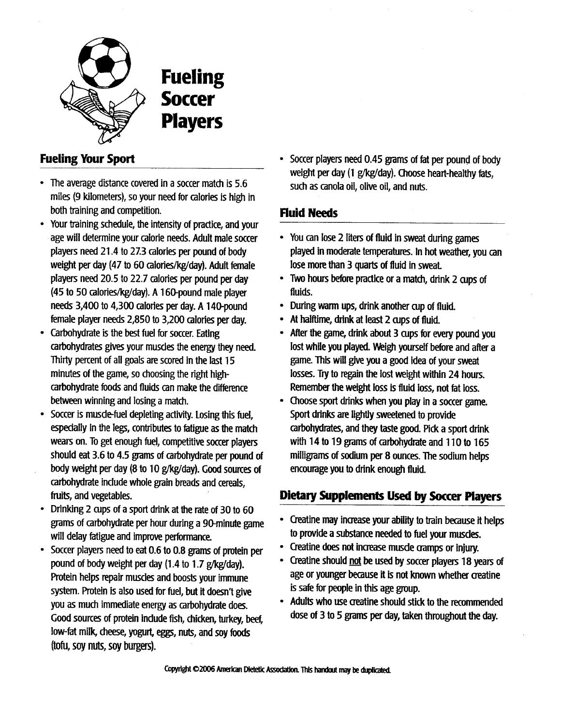

 

**Fueling Soccer** Players

# Fueling Your Sport

- The average distance covered in a soccer match is 5 .6 miles (9 kilometers), so your need for calories is high in both training and competition.
- Your training schedule, the intensity of practice, and your age will determine your calorie needs . Adult male soccer players need 21 .4 to 27.3 calories per pound of body weight per day (47 to 60 calories/kg/day) . Adult female players need 20 .5 to 22 .7 calories per pound per day (45 to 50 calories/kg/day) . A 160-pound male player needs 3,400 to 4,300 calories per day . A 140-pound female player needs 2,850 to 3,200 calories per day.
- Carbohydrate is the best fuel for soccer. Eating carbohydrates gives your muscles the energy they need. Thirty percent of all goals are scored in the last 15 minutes of the game, so choosing the right highcarbohydrate foods and fluids can make the difference between winning and losing a match.
- Soccer is musde-fuel depleting activity. Losing this fuel, especially In the legs, contributes to fatigue as the match wears on. To get enough fuel, competitive soccer players should eat 3.6 to 4.5 grams of carbohydrate per pound of body weight per day (8 to 10 g/kg/day). Good sources of carbohydrate include whole grain breads and cereals, fruits, and vegetables.
- $\sim$  Drinking 2 cups of a sport drink at the rate of 30 to 60 grams of carbohydrate per hour during a 90-minute game will delay fatigue and improve performance.
- Soccer players need to eat 0.6 to 0.8 grams of protein per pound of body weight per day (1.4 to 1.7 g/kg/day). Protein helps repair muscles and boosts your immune system. Protein is also used for fuel, but it doesn't give you as much immediate energy as carbohydrate does. Good sources of protein include fish, chicken, turkey, beef, low-fat milk, cheese, yogurt, eggs, nuts, and soy foods (tofu, soy nuts, soy burgers) .

Soccer players need 0.45 grams of fat per pound of body weight per day (1 g/kg/day). Choose heart-healthy fats, such as canola oil, olive oil, and nuts.

# Fluid Needs

- You can lose 2 liters of fluid in sweat during games played in moderate temperatures. In hot weather, you can lose more than 3 quarts of fluid in sweat.
- Two hours before practice or a match, drink 2 cups of fluids.
- During warm ups, drink another cup of fluid.
- At halftime, drink at least 2 cups of fluid.
- After the game, drink about 3 cups for every pound you lost while you played. Weigh yourself before and after a game. This will give you a good idea of your sweat losses. Try to regain the lost weight within 24 hours. Remember the weight loss is fluid loss, not fat loss.
- Choose sport drinks when you play in a soccer game. Sport drinks are lightly sweetened to provide carbohydrates, and they taste good. Pick a sport drink with 14 to 19 grams of carbohydrate and 110 to 165 milligrams of sodium per 8 ounces. The sodium helps encourage you to drink enough fluid.

# Dietary Supplements Used by Soccer Players

- Creatine may increase your ability to train because it helps to provide a substance needed to fuel your muscles.
- Creatine does not increase muscle cramps or injury.
- Creatine should not be used by soccer players 18 years of age or younger because it is not known whether creatine is safe for people in this age group.
- Adults who use creatine should stick to the recommended dose of 3 to 5 grams per day, taken throughout the day .